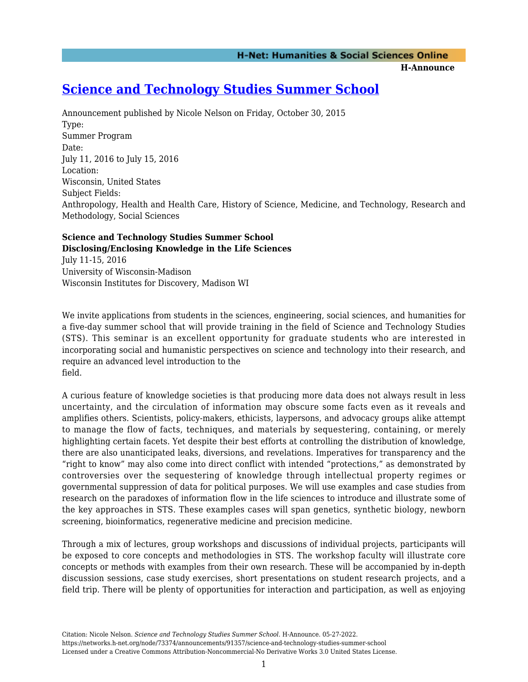**H-Announce** 

# **[Science and Technology Studies Summer School](https://networks.h-net.org/node/73374/announcements/91357/science-and-technology-studies-summer-school)**

Announcement published by Nicole Nelson on Friday, October 30, 2015 Type: Summer Program Date: July 11, 2016 to July 15, 2016 Location: Wisconsin, United States Subject Fields: Anthropology, Health and Health Care, History of Science, Medicine, and Technology, Research and Methodology, Social Sciences

#### **Science and Technology Studies Summer School Disclosing/Enclosing Knowledge in the Life Sciences**

July 11-15, 2016 University of Wisconsin-Madison Wisconsin Institutes for Discovery, Madison WI

We invite applications from students in the sciences, engineering, social sciences, and humanities for a five-day summer school that will provide training in the field of Science and Technology Studies (STS). This seminar is an excellent opportunity for graduate students who are interested in incorporating social and humanistic perspectives on science and technology into their research, and require an advanced level introduction to the field.

A curious feature of knowledge societies is that producing more data does not always result in less uncertainty, and the circulation of information may obscure some facts even as it reveals and amplifies others. Scientists, policy-makers, ethicists, laypersons, and advocacy groups alike attempt to manage the flow of facts, techniques, and materials by sequestering, containing, or merely highlighting certain facets. Yet despite their best efforts at controlling the distribution of knowledge, there are also unanticipated leaks, diversions, and revelations. Imperatives for transparency and the "right to know" may also come into direct conflict with intended "protections," as demonstrated by controversies over the sequestering of knowledge through intellectual property regimes or governmental suppression of data for political purposes. We will use examples and case studies from research on the paradoxes of information flow in the life sciences to introduce and illustrate some of the key approaches in STS. These examples cases will span genetics, synthetic biology, newborn screening, bioinformatics, regenerative medicine and precision medicine.

Through a mix of lectures, group workshops and discussions of individual projects, participants will be exposed to core concepts and methodologies in STS. The workshop faculty will illustrate core concepts or methods with examples from their own research. These will be accompanied by in-depth discussion sessions, case study exercises, short presentations on student research projects, and a field trip. There will be plenty of opportunities for interaction and participation, as well as enjoying